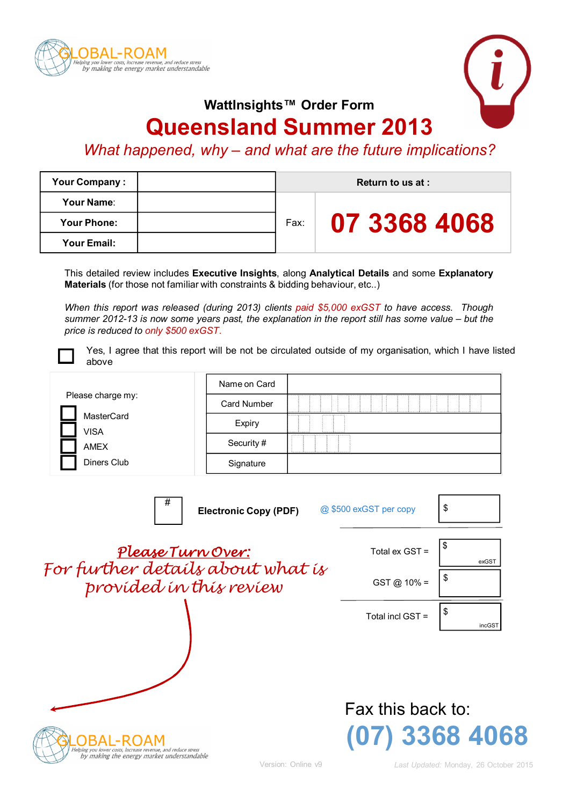



**WattInsights™ Order Form**

# **Queensland Summer 2013**

## *What happened, why – and what are the future implications?*

| <b>Your Company:</b> |  | Return to us at : |              |  |
|----------------------|--|-------------------|--------------|--|
| Your Name:           |  | Fax:              | 07 3368 4068 |  |
| <b>Your Phone:</b>   |  |                   |              |  |
| Your Email:          |  |                   |              |  |

This detailed review includes **Executive Insights**, along **Analytical Details** and some **Explanatory Materials** (for those not familiar with constraints & bidding behaviour, etc..)

*When this report was released (during 2013) clients paid \$5,000 exGST to have access. Though summer 2012-13 is now some years past, the explanation in the report still has some value – but the price is reduced to only \$500 exGST*.



Yes, I agree that this report will be not be circulated outside of my organisation, which I have listed above

|                           | Name on Card       |                                      |
|---------------------------|--------------------|--------------------------------------|
| Please charge my:         | <b>Card Number</b> | Ħ<br>. <del>. .</del> <del>.</del> . |
| <b>MasterCard</b><br>VISA | Expiry             | .<br><br><br>. 5.                    |
| AMEX                      | Security #         |                                      |
| Diners Club               | Signature          |                                      |

| #<br><b>Electronic Copy (PDF)</b>                                                                          | @ \$500 exGST per copy              | \$           |
|------------------------------------------------------------------------------------------------------------|-------------------------------------|--------------|
| Please Turn Over:                                                                                          | Total ex GST =                      | \$<br>exGST  |
| For further details about what is<br>provided in this review                                               | $GST @ 10\% =$                      | \$           |
|                                                                                                            | Total incl GST =                    | \$<br>incGST |
| Helping you lower costs, increase revenue, and reduce stress<br>by making the energy market understandable | Fax this back to:<br>(07) 3368 4068 |              |